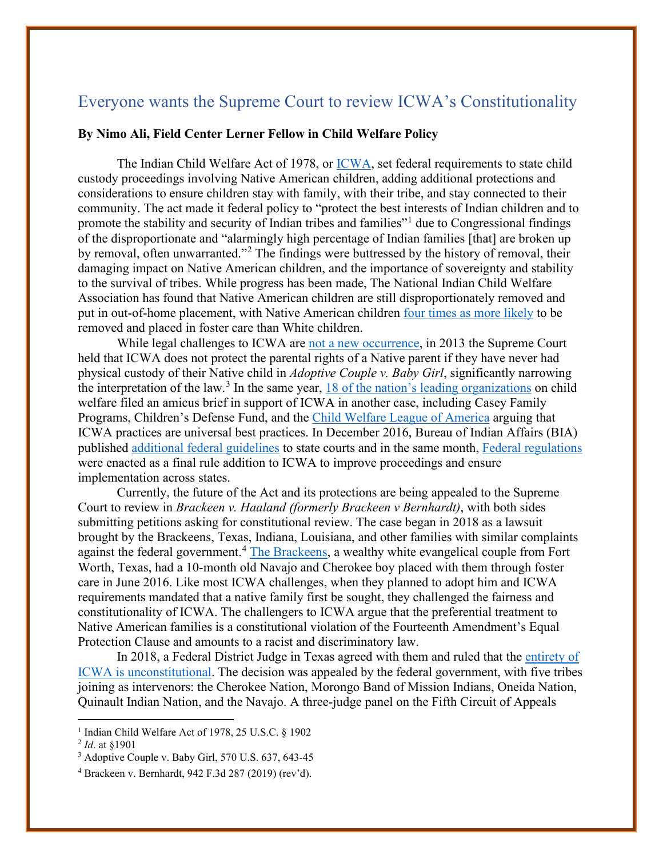## Everyone wants the Supreme Court to review ICWA's Constitutionality

## **By Nimo Ali, Field Center Lerner Fellow in Child Welfare Policy**

The Indian Child Welfare Act of 1978, or [ICWA,](https://uscode.house.gov/view.xhtml?path=/prelim@title25/chapter21&edition=prelim) set federal requirements to state child custody proceedings involving Native American children, adding additional protections and considerations to ensure children stay with family, with their tribe, and stay connected to their community. The act made it federal policy to "protect the best interests of Indian children and to promote the stability and security of Indian tribes and families"<sup>[1](#page-0-0)</sup> due to Congressional findings of the disproportionate and "alarmingly high percentage of Indian families [that] are broken up by removal, often unwarranted."<sup>[2](#page-0-1)</sup> The findings were buttressed by the history of removal, their damaging impact on Native American children, and the importance of sovereignty and stability to the survival of tribes. While progress has been made, The National Indian Child Welfare Association has found that Native American children are still disproportionately removed and put in out-of-home placement, with Native American children [four times as more likely](https://www.nicwa.org/about-icwa/) to be removed and placed in foster care than White children.

While legal challenges to ICWA are [not a new occurrence,](https://www.abajournal.com/magazine/article/indian_child_welfare_tribal_lawsuits) in 2013 the Supreme Court held that ICWA does not protect the parental rights of a Native parent if they have never had physical custody of their Native child in *Adoptive Couple v. Baby Girl*, significantly narrowing the interpretation of the law.<sup>[3](#page-0-2)</sup> In the same year,  $\frac{18 \text{ of the nation's leading organizations}}{18 \text{ of the region's leading.}}$ welfare filed an amicus brief in support of ICWA in another case, including Casey Family Programs, Children's Defense Fund, and the [Child Welfare League of America](https://imprintnews.org/child-welfare-2/indian-child-welfare-act-is-leading-the-way-on-child-welfare-practice/40435) arguing that ICWA practices are universal best practices. In December 2016, Bureau of Indian Affairs (BIA) published [additional federal guidelines](https://www.federalregister.gov/documents/2016/12/30/2016-31726/guidelines-for-implementing-the-indian-child-welfare-act) to state courts and in the same month, [Federal regulations](https://www.federalregister.gov/documents/2016/06/14/2016-13686/indian-child-welfare-act-proceedings) were enacted as a final rule addition to ICWA to improve proceedings and ensure implementation across states.

Currently, the future of the Act and its protections are being appealed to the Supreme Court to review in *Brackeen v. Haaland (formerly Brackeen v Bernhardt)*, with both sides submitting petitions asking for constitutional review. The case began in 2018 as a lawsuit brought by the Brackeens, Texas, Indiana, Louisiana, and other families with similar complaints against the federal government.<sup>[4](#page-0-3)</sup> [The Brackeens,](https://www.vox.com/identities/2020/2/20/21131387/indian-child-welfare-act-court-case-foster-care) a wealthy white evangelical couple from Fort Worth, Texas, had a 10-month old Navajo and Cherokee boy placed with them through foster care in June 2016. Like most ICWA challenges, when they planned to adopt him and ICWA requirements mandated that a native family first be sought, they challenged the fairness and constitutionality of ICWA. The challengers to ICWA argue that the preferential treatment to Native American families is a constitutional violation of the Fourteenth Amendment's Equal Protection Clause and amounts to a racist and discriminatory law.

In 2018, a Federal District Judge in Texas agreed with them and ruled that the [entirety of](https://www.abajournal.com/news/article/federal_court_declares_indian_child_welfare_act_unconstitutional)  ICWA is [unconstitutional.](https://www.abajournal.com/news/article/federal_court_declares_indian_child_welfare_act_unconstitutional) The decision was appealed by the federal government, with five tribes joining as intervenors: the Cherokee Nation, Morongo Band of Mission Indians, Oneida Nation, Quinault Indian Nation, and the Navajo. A three-judge panel on the Fifth Circuit of Appeals

<span id="page-0-0"></span><sup>&</sup>lt;sup>1</sup> Indian Child Welfare Act of 1978, 25 U.S.C. § 1902

<span id="page-0-1"></span><sup>2</sup> *Id*. at §1901

<span id="page-0-2"></span><sup>&</sup>lt;sup>3</sup> Adoptive Couple v. Baby Girl, 570 U.S. 637, 643-45

<span id="page-0-3"></span><sup>4</sup> Brackeen v. Bernhardt, 942 F.3d 287 (2019) (rev'd).